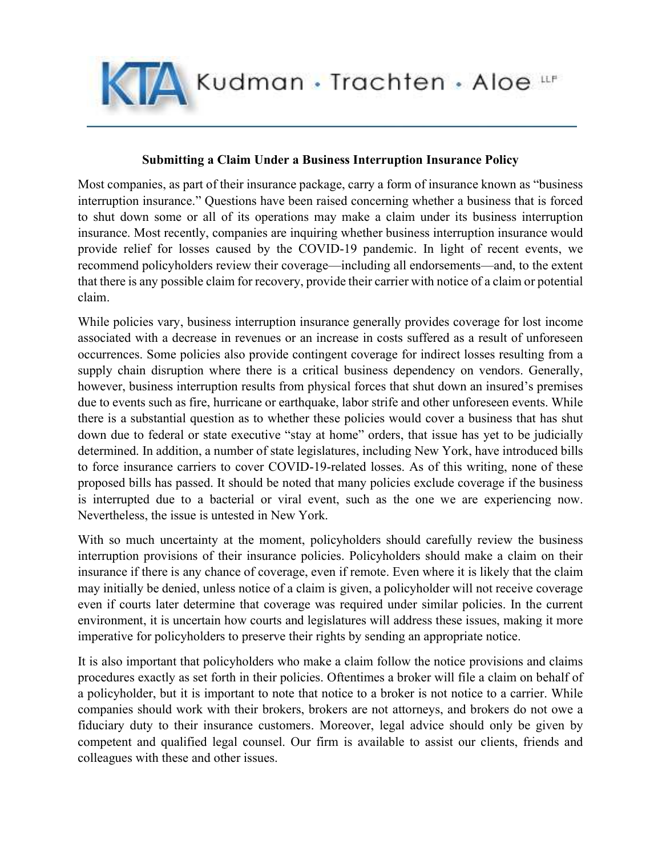Kudman · Trachten · Aloe LLF

## Submitting a Claim Under a Business Interruption Insurance Policy

Most companies, as part of their insurance package, carry a form of insurance known as "business interruption insurance." Questions have been raised concerning whether a business that is forced to shut down some or all of its operations may make a claim under its business interruption insurance. Most recently, companies are inquiring whether business interruption insurance would provide relief for losses caused by the COVID-19 pandemic. In light of recent events, we recommend policyholders review their coverage—including all endorsements—and, to the extent that there is any possible claim for recovery, provide their carrier with notice of a claim or potential claim.

While policies vary, business interruption insurance generally provides coverage for lost income associated with a decrease in revenues or an increase in costs suffered as a result of unforeseen occurrences. Some policies also provide contingent coverage for indirect losses resulting from a supply chain disruption where there is a critical business dependency on vendors. Generally, however, business interruption results from physical forces that shut down an insured's premises due to events such as fire, hurricane or earthquake, labor strife and other unforeseen events. While there is a substantial question as to whether these policies would cover a business that has shut down due to federal or state executive "stay at home" orders, that issue has yet to be judicially determined. In addition, a number of state legislatures, including New York, have introduced bills to force insurance carriers to cover COVID-19-related losses. As of this writing, none of these proposed bills has passed. It should be noted that many policies exclude coverage if the business is interrupted due to a bacterial or viral event, such as the one we are experiencing now. Nevertheless, the issue is untested in New York.

With so much uncertainty at the moment, policyholders should carefully review the business interruption provisions of their insurance policies. Policyholders should make a claim on their insurance if there is any chance of coverage, even if remote. Even where it is likely that the claim may initially be denied, unless notice of a claim is given, a policyholder will not receive coverage even if courts later determine that coverage was required under similar policies. In the current environment, it is uncertain how courts and legislatures will address these issues, making it more imperative for policyholders to preserve their rights by sending an appropriate notice.

It is also important that policyholders who make a claim follow the notice provisions and claims procedures exactly as set forth in their policies. Oftentimes a broker will file a claim on behalf of a policyholder, but it is important to note that notice to a broker is not notice to a carrier. While companies should work with their brokers, brokers are not attorneys, and brokers do not owe a fiduciary duty to their insurance customers. Moreover, legal advice should only be given by competent and qualified legal counsel. Our firm is available to assist our clients, friends and colleagues with these and other issues.